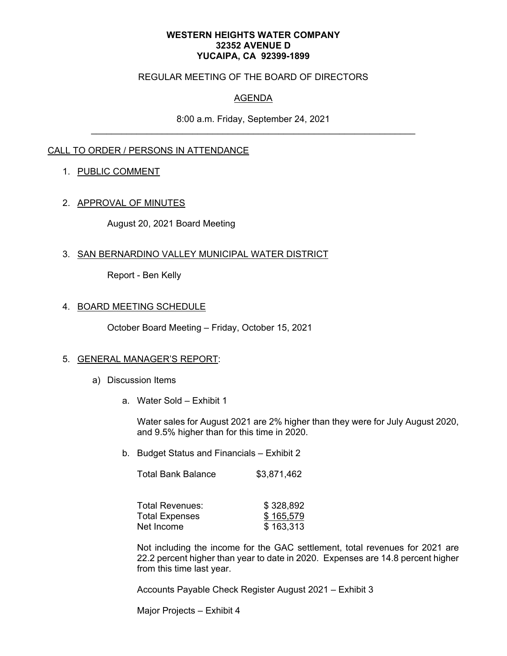#### **WESTERN HEIGHTS WATER COMPANY 32352 AVENUE D YUCAIPA, CA 92399-1899**

### REGULAR MEETING OF THE BOARD OF DIRECTORS

## AGENDA

8:00 a.m. Friday, September 24, 2021

## CALL TO ORDER / PERSONS IN ATTENDANCE

### 1. PUBLIC COMMENT

### 2. APPROVAL OF MINUTES

August 20, 2021 Board Meeting

### 3. SAN BERNARDINO VALLEY MUNICIPAL WATER DISTRICT

Report - Ben Kelly

### 4. BOARD MEETING SCHEDULE

October Board Meeting – Friday, October 15, 2021

#### 5. GENERAL MANAGER'S REPORT:

- a) Discussion Items
	- a. Water Sold Exhibit 1

Water sales for August 2021 are 2% higher than they were for July August 2020, and 9.5% higher than for this time in 2020.

b. Budget Status and Financials – Exhibit 2

| <b>Total Bank Balance</b> | \$3,871,462 |
|---------------------------|-------------|
|---------------------------|-------------|

| Total Revenues: | \$328,892 |
|-----------------|-----------|
| Total Expenses  | \$165,579 |
| Net Income      | \$163,313 |

Not including the income for the GAC settlement, total revenues for 2021 are 22.2 percent higher than year to date in 2020. Expenses are 14.8 percent higher from this time last year.

Accounts Payable Check Register August 2021 – Exhibit 3

Major Projects – Exhibit 4